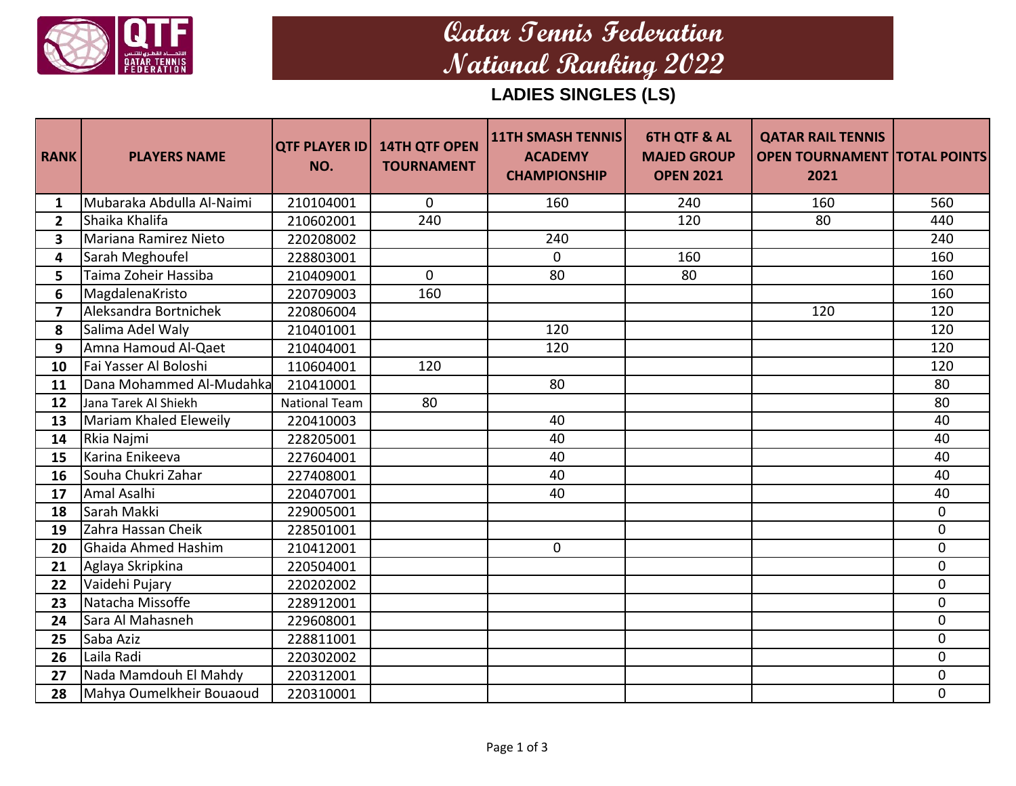

## **Qatar Tennis Federation National Ranking 2022**

**LADIES SINGLES (LS)**

| <b>RANK</b>             | <b>PLAYERS NAME</b>       | <b>QTF PLAYER ID</b><br>NO. | <b>14TH QTF OPEN</b><br><b>TOURNAMENT</b> | <b>11TH SMASH TENNIS</b><br><b>ACADEMY</b><br><b>CHAMPIONSHIP</b> | <b>6TH QTF &amp; AL</b><br><b>MAJED GROUP</b><br><b>OPEN 2021</b> | <b>QATAR RAIL TENNIS</b><br><b>OPEN TOURNAMENT TOTAL POINTS</b><br>2021 |              |
|-------------------------|---------------------------|-----------------------------|-------------------------------------------|-------------------------------------------------------------------|-------------------------------------------------------------------|-------------------------------------------------------------------------|--------------|
| 1                       | Mubaraka Abdulla Al-Naimi | 210104001                   | $\mathbf{0}$                              | 160                                                               | 240                                                               | 160                                                                     | 560          |
| $2^{\circ}$             | Shaika Khalifa            | 210602001                   | 240                                       |                                                                   | 120                                                               | 80                                                                      | 440          |
| $\mathbf{3}$            | Mariana Ramirez Nieto     | 220208002                   |                                           | 240                                                               |                                                                   |                                                                         | 240          |
| 4                       | Sarah Meghoufel           | 228803001                   |                                           | $\Omega$                                                          | 160                                                               |                                                                         | 160          |
| 5                       | Taima Zoheir Hassiba      | 210409001                   | $\mathbf{0}$                              | 80                                                                | 80                                                                |                                                                         | 160          |
| 6                       | MagdalenaKristo           | 220709003                   | 160                                       |                                                                   |                                                                   |                                                                         | 160          |
| $\overline{\mathbf{z}}$ | Aleksandra Bortnichek     | 220806004                   |                                           |                                                                   |                                                                   | 120                                                                     | 120          |
| 8                       | Salima Adel Waly          | 210401001                   |                                           | 120                                                               |                                                                   |                                                                         | 120          |
| 9                       | Amna Hamoud Al-Qaet       | 210404001                   |                                           | 120                                                               |                                                                   |                                                                         | 120          |
| 10                      | Fai Yasser Al Boloshi     | 110604001                   | 120                                       |                                                                   |                                                                   |                                                                         | 120          |
| 11                      | Dana Mohammed Al-Mudahka  | 210410001                   |                                           | 80                                                                |                                                                   |                                                                         | 80           |
| 12                      | Jana Tarek Al Shiekh      | <b>National Team</b>        | 80                                        |                                                                   |                                                                   |                                                                         | 80           |
| 13                      | Mariam Khaled Eleweily    | 220410003                   |                                           | 40                                                                |                                                                   |                                                                         | 40           |
| 14                      | Rkia Najmi                | 228205001                   |                                           | 40                                                                |                                                                   |                                                                         | 40           |
| 15                      | Karina Enikeeva           | 227604001                   |                                           | 40                                                                |                                                                   |                                                                         | 40           |
| 16                      | Souha Chukri Zahar        | 227408001                   |                                           | 40                                                                |                                                                   |                                                                         | 40           |
| 17                      | Amal Asalhi               | 220407001                   |                                           | 40                                                                |                                                                   |                                                                         | 40           |
| 18                      | Sarah Makki               | 229005001                   |                                           |                                                                   |                                                                   |                                                                         | $\mathbf{0}$ |
| 19                      | Zahra Hassan Cheik        | 228501001                   |                                           |                                                                   |                                                                   |                                                                         | $\Omega$     |
| 20                      | Ghaida Ahmed Hashim       | 210412001                   |                                           | $\mathbf 0$                                                       |                                                                   |                                                                         | $\Omega$     |
| 21                      | Aglaya Skripkina          | 220504001                   |                                           |                                                                   |                                                                   |                                                                         | $\mathbf 0$  |
| 22                      | Vaidehi Pujary            | 220202002                   |                                           |                                                                   |                                                                   |                                                                         | $\Omega$     |
| 23                      | Natacha Missoffe          | 228912001                   |                                           |                                                                   |                                                                   |                                                                         | $\mathbf{0}$ |
| 24                      | Sara Al Mahasneh          | 229608001                   |                                           |                                                                   |                                                                   |                                                                         | $\mathbf{0}$ |
| 25                      | Saba Aziz                 | 228811001                   |                                           |                                                                   |                                                                   |                                                                         | $\Omega$     |
| 26                      | Laila Radi                | 220302002                   |                                           |                                                                   |                                                                   |                                                                         | $\mathbf{0}$ |
| 27                      | Nada Mamdouh El Mahdy     | 220312001                   |                                           |                                                                   |                                                                   |                                                                         | $\Omega$     |
| 28                      | Mahya Oumelkheir Bouaoud  | 220310001                   |                                           |                                                                   |                                                                   |                                                                         | $\mathbf{0}$ |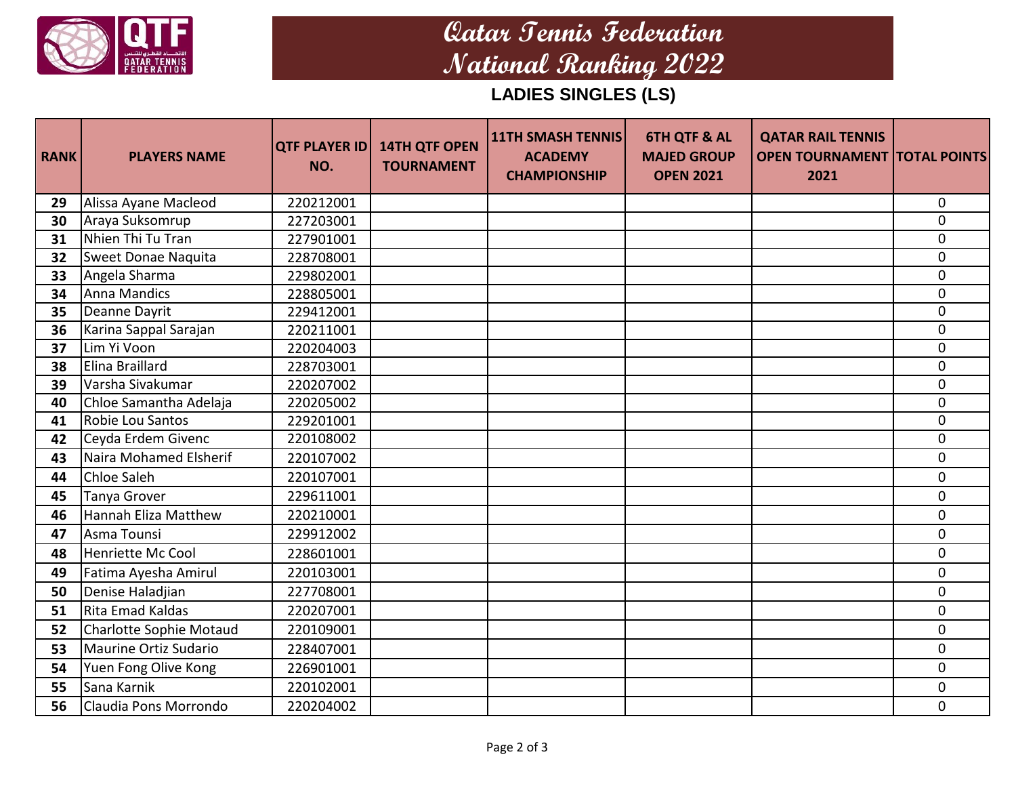

## **Qatar Tennis Federation National Ranking 2022**

**LADIES SINGLES (LS)**

| <b>RANK</b> | <b>PLAYERS NAME</b>            | <b>QTF PLAYER ID</b><br>NO. | <b>14TH QTF OPEN</b><br><b>TOURNAMENT</b> | <b>11TH SMASH TENNIS</b><br><b>ACADEMY</b><br><b>CHAMPIONSHIP</b> | <b>6TH QTF &amp; AL</b><br><b>MAJED GROUP</b><br><b>OPEN 2021</b> | <b>QATAR RAIL TENNIS</b><br><b>OPEN TOURNAMENT   TOTAL POINTS</b><br>2021 |             |
|-------------|--------------------------------|-----------------------------|-------------------------------------------|-------------------------------------------------------------------|-------------------------------------------------------------------|---------------------------------------------------------------------------|-------------|
| 29          | Alissa Ayane Macleod           | 220212001                   |                                           |                                                                   |                                                                   |                                                                           | $\mathbf 0$ |
| 30          | Araya Suksomrup                | 227203001                   |                                           |                                                                   |                                                                   |                                                                           | $\mathbf 0$ |
| 31          | Nhien Thi Tu Tran              | 227901001                   |                                           |                                                                   |                                                                   |                                                                           | $\mathbf 0$ |
| 32          | Sweet Donae Naquita            | 228708001                   |                                           |                                                                   |                                                                   |                                                                           | $\mathbf 0$ |
| 33          | Angela Sharma                  | 229802001                   |                                           |                                                                   |                                                                   |                                                                           | 0           |
| 34          | Anna Mandics                   | 228805001                   |                                           |                                                                   |                                                                   |                                                                           | $\mathbf 0$ |
| 35          | Deanne Dayrit                  | 229412001                   |                                           |                                                                   |                                                                   |                                                                           | $\mathbf 0$ |
| 36          | Karina Sappal Sarajan          | 220211001                   |                                           |                                                                   |                                                                   |                                                                           | $\mathbf 0$ |
| 37          | Lim Yi Voon                    | 220204003                   |                                           |                                                                   |                                                                   |                                                                           | $\mathbf 0$ |
| 38          | Elina Braillard                | 228703001                   |                                           |                                                                   |                                                                   |                                                                           | $\mathbf 0$ |
| 39          | Varsha Sivakumar               | 220207002                   |                                           |                                                                   |                                                                   |                                                                           | $\mathbf 0$ |
| 40          | Chloe Samantha Adelaja         | 220205002                   |                                           |                                                                   |                                                                   |                                                                           | $\mathbf 0$ |
| 41          | Robie Lou Santos               | 229201001                   |                                           |                                                                   |                                                                   |                                                                           | $\mathbf 0$ |
| 42          | Ceyda Erdem Givenc             | 220108002                   |                                           |                                                                   |                                                                   |                                                                           | 0           |
| 43          | Naira Mohamed Elsherif         | 220107002                   |                                           |                                                                   |                                                                   |                                                                           | $\mathbf 0$ |
| 44          | <b>Chloe Saleh</b>             | 220107001                   |                                           |                                                                   |                                                                   |                                                                           | $\mathbf 0$ |
| 45          | Tanya Grover                   | 229611001                   |                                           |                                                                   |                                                                   |                                                                           | 0           |
| 46          | <b>Hannah Eliza Matthew</b>    | 220210001                   |                                           |                                                                   |                                                                   |                                                                           | $\Omega$    |
| 47          | Asma Tounsi                    | 229912002                   |                                           |                                                                   |                                                                   |                                                                           | $\mathbf 0$ |
| 48          | Henriette Mc Cool              | 228601001                   |                                           |                                                                   |                                                                   |                                                                           | $\mathbf 0$ |
| 49          | Fatima Ayesha Amirul           | 220103001                   |                                           |                                                                   |                                                                   |                                                                           | $\mathbf 0$ |
| 50          | Denise Haladjian               | 227708001                   |                                           |                                                                   |                                                                   |                                                                           | $\mathbf 0$ |
| 51          | Rita Emad Kaldas               | 220207001                   |                                           |                                                                   |                                                                   |                                                                           | $\mathbf 0$ |
| 52          | <b>Charlotte Sophie Motaud</b> | 220109001                   |                                           |                                                                   |                                                                   |                                                                           | $\mathbf 0$ |
| 53          | Maurine Ortiz Sudario          | 228407001                   |                                           |                                                                   |                                                                   |                                                                           | $\mathbf 0$ |
| 54          | Yuen Fong Olive Kong           | 226901001                   |                                           |                                                                   |                                                                   |                                                                           | $\mathbf 0$ |
| 55          | Sana Karnik                    | 220102001                   |                                           |                                                                   |                                                                   |                                                                           | 0           |
| 56          | Claudia Pons Morrondo          | 220204002                   |                                           |                                                                   |                                                                   |                                                                           | $\mathbf 0$ |